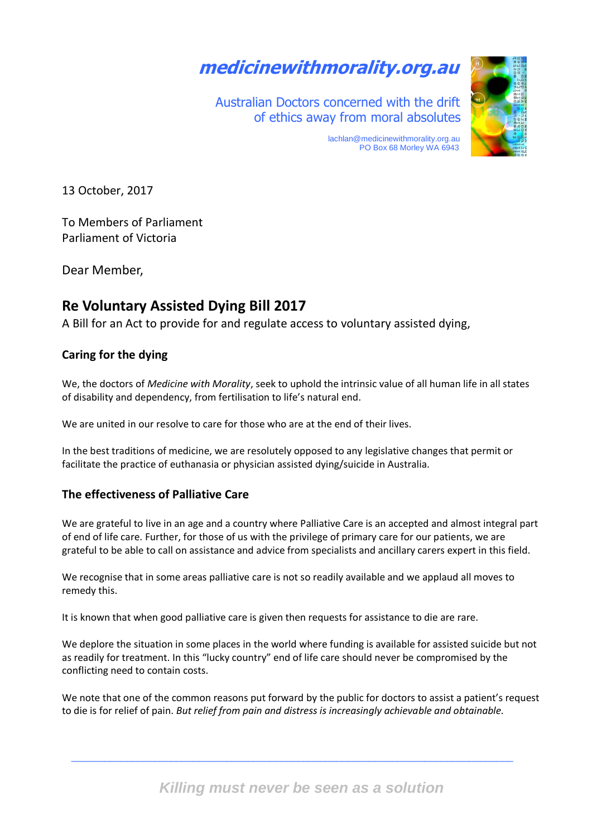# **medicinewithmorality.org.au**

 Australian Doctors concerned with the drift of ethics away from moral absolutes



 [lachlan@medicinewithmorality.org](mailto:lachlan@medicinewithmorality.info).au PO Box 68 Morley WA 6943

13 October, 2017

To Members of Parliament Parliament of Victoria

Dear Member,

# **Re Voluntary Assisted Dying Bill 2017**

A Bill for an Act to provide for and regulate access to voluntary assisted dying,

# **Caring for the dying**

We, the doctors of *Medicine with Morality*, seek to uphold the intrinsic value of all human life in all states of disability and dependency, from fertilisation to life's natural end.

We are united in our resolve to care for those who are at the end of their lives.

In the best traditions of medicine, we are resolutely opposed to any legislative changes that permit or facilitate the practice of euthanasia or physician assisted dying/suicide in Australia.

# **The effectiveness of Palliative Care**

We are grateful to live in an age and a country where Palliative Care is an accepted and almost integral part of end of life care. Further, for those of us with the privilege of primary care for our patients, we are grateful to be able to call on assistance and advice from specialists and ancillary carers expert in this field.

We recognise that in some areas palliative care is not so readily available and we applaud all moves to remedy this.

It is known that when good palliative care is given then requests for assistance to die are rare.

We deplore the situation in some places in the world where funding is available for assisted suicide but not as readily for treatment. In this "lucky country" end of life care should never be compromised by the conflicting need to contain costs.

We note that one of the common reasons put forward by the public for doctors to assist a patient's request to die is for relief of pain. *But relief from pain and distress is increasingly achievable and obtainable.*

\_\_\_\_\_\_\_\_\_\_\_\_\_\_\_\_\_\_\_\_\_\_\_\_\_\_\_\_\_\_\_\_\_\_\_\_\_\_\_\_\_\_\_\_\_\_\_\_\_\_\_\_\_\_\_\_\_\_\_\_\_\_\_\_\_\_\_\_\_\_\_\_\_\_\_\_\_\_\_\_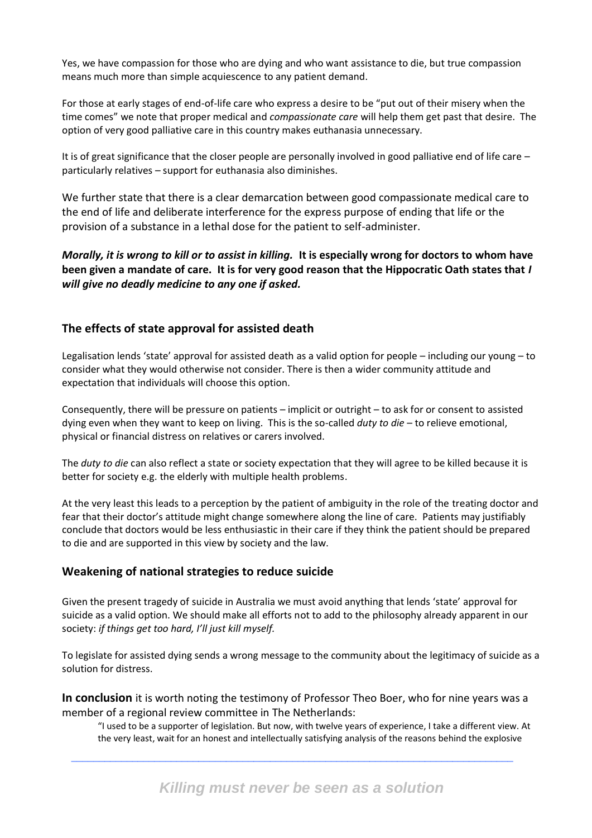Yes, we have compassion for those who are dying and who want assistance to die, but true compassion means much more than simple acquiescence to any patient demand.

For those at early stages of end-of-life care who express a desire to be "put out of their misery when the time comes" we note that proper medical and *compassionate care* will help them get past that desire. The option of very good palliative care in this country makes euthanasia unnecessary.

It is of great significance that the closer people are personally involved in good palliative end of life care – particularly relatives – support for euthanasia also diminishes.

We further state that there is a clear demarcation between good compassionate medical care to the end of life and deliberate interference for the express purpose of ending that life or the provision of a substance in a lethal dose for the patient to self-administer.

*Morally, it is wrong to kill or to assist in killing.* **It is especially wrong for doctors to whom have been given a mandate of care. It is for very good reason that the Hippocratic Oath states that** *I will give no deadly medicine to any one if asked.* 

### **The effects of state approval for assisted death**

Legalisation lends 'state' approval for assisted death as a valid option for people – including our young – to consider what they would otherwise not consider. There is then a wider community attitude and expectation that individuals will choose this option.

Consequently, there will be pressure on patients – implicit or outright – to ask for or consent to assisted dying even when they want to keep on living. This is the so-called *duty to die* – to relieve emotional, physical or financial distress on relatives or carers involved.

The *duty to die* can also reflect a state or society expectation that they will agree to be killed because it is better for society e.g. the elderly with multiple health problems.

At the very least this leads to a perception by the patient of ambiguity in the role of the treating doctor and fear that their doctor's attitude might change somewhere along the line of care. Patients may justifiably conclude that doctors would be less enthusiastic in their care if they think the patient should be prepared to die and are supported in this view by society and the law.

### **Weakening of national strategies to reduce suicide**

Given the present tragedy of suicide in Australia we must avoid anything that lends 'state' approval for suicide as a valid option. We should make all efforts not to add to the philosophy already apparent in our society: *if things get too hard, I'll just kill myself.* 

To legislate for assisted dying sends a wrong message to the community about the legitimacy of suicide as a solution for distress.

**In conclusion** it is worth noting the testimony of Professor Theo Boer, who for nine years was a member of a regional review committee in The Netherlands:

\_\_\_\_\_\_\_\_\_\_\_\_\_\_\_\_\_\_\_\_\_\_\_\_\_\_\_\_\_\_\_\_\_\_\_\_\_\_\_\_\_\_\_\_\_\_\_\_\_\_\_\_\_\_\_\_\_\_\_\_\_\_\_\_\_\_\_\_\_\_\_\_\_\_\_\_\_\_\_\_

"I used to be a supporter of legislation. But now, with twelve years of experience, I take a different view. At the very least, wait for an honest and intellectually satisfying analysis of the reasons behind the explosive